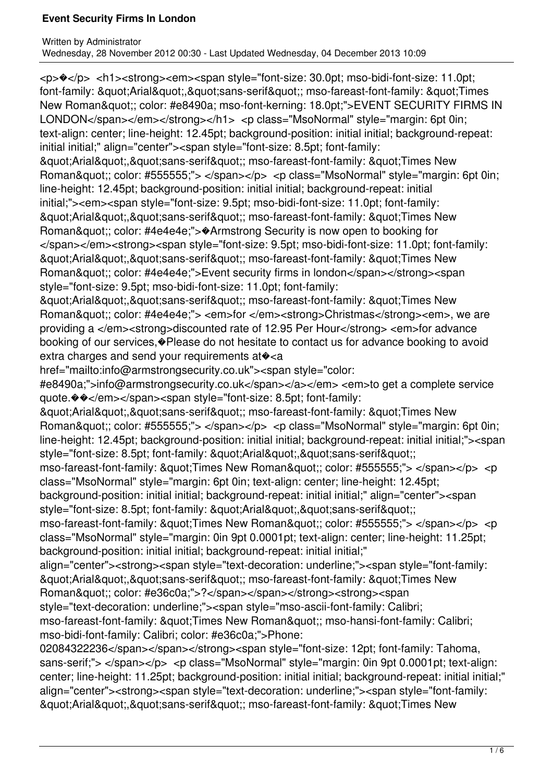<p>�</p> <h1><strong><em><span style="font-size: 30.0pt; mso-bidi-font-size: 11.0pt; font-family: "Arial","sans-serif"; mso-fareast-font-family: "Times New Roman"; color: #e8490a; mso-font-kerning: 18.0pt;">EVENT SECURITY FIRMS IN LONDON</span></em></strong></h1> <p class="MsoNormal" style="margin: 6pt 0in; text-align: center; line-height: 12.45pt; background-position: initial initial; background-repeat: initial initial;" align="center"><span style="font-size: 8.5pt; font-family: & guot: Arial & quot: & quot: sans-serif & quot: ; mso-fareast-font-family: & quot: Times New Roman"; color: #555555;"> </span></p> <p class="MsoNormal" style="margin: 6pt 0in; line-height: 12.45pt; background-position: initial initial; background-repeat: initial initial;"><em><span style="font-size: 9.5pt; mso-bidi-font-size: 11.0pt; font-family: & guot; Arial & guot;, & guot; sans-serif & guot;; mso-fareast-font-family: & guot; Times New Roman&quot:; color: #4e4e4e;">�Armstrong Security is now open to booking for </span></em><strong><span style="font-size: 9.5pt; mso-bidi-font-size: 11.0pt; font-family: & guot; Arial & guot;, & guot; sans-serif & guot;; mso-fareast-font-family: & guot; Times New Roman&quot:; color: #4e4e4e;">Event security firms in london</span></strong><span style="font-size: 9.5pt; mso-bidi-font-size: 11.0pt; font-family: & guot; Arial & guot;, & guot; sans-serif & guot;; mso-fareast-font-family: & guot; Times New Roman&quot:; color: #4e4e4e;"> <em>for </em><strong>Christmas</strong><em>, we are providing a </em><strong>discounted rate of 12.95 Per Hour</strong> <em>for advance booking of our services,�Please do not hesitate to contact us for advance booking to avoid extra charges and send your requirements at  $\diamond$  <a href="mailto:info@armstrongsecurity.co.uk"><span style="color: #e8490a;">info@armstrongsecurity.co.uk</span></a></em> <em>to get a complete service quote.��</em></span><span style="font-size: 8.5pt; font-family: & auot: Arial & quot:, & quot: sans-serif & quot:; mso-fareast-font-family: & quot: Times New Roman"; color: #555555;"> </span></p> <p class="MsoNormal" style="margin: 6pt 0in; line-height: 12.45pt; background-position: initial initial; background-repeat: initial initial;"><span style="font-size: 8.5pt; font-family: &quot:Arial&quot:,&quot:sans-serif&quot:;  $mso-fareast-font-family: ": Times New Roman":: color: #555555;">$ class="MsoNormal" style="margin: 6pt 0in; text-align: center; line-height: 12.45pt; background-position: initial initial; background-repeat: initial initial;" align="center"><span style="font-size: 8.5pt; font-family: "Arial","sans-serif";  $mso-fareast-font-family: \&\text{quot:} Times New Roman\&\text{quot:}; color: #555555;" > <\text{span} < p < p$ class="MsoNormal" style="margin: 0in 9pt 0.0001pt; text-align: center; line-height: 11.25pt; background-position: initial initial; background-repeat: initial initial;" align="center"><strong><span style="text-decoration: underline;"><span style="font-family: "Arial","sans-serif"; mso-fareast-font-family: "Times New Roman"; color: #e36c0a;">?</span></span></strong><strong><span style="text-decoration: underline;"><span style="mso-ascii-font-family: Calibri; mso-fareast-font-family: " Times New Roman"; mso-hansi-font-family: Calibri; mso-bidi-font-family: Calibri; color: #e36c0a;">Phone: 02084322236</span></span></strong><span style="font-size: 12pt; font-family: Tahoma, sans-serif;"> </span></p> <p class="MsoNormal" style="margin: 0in 9pt 0.0001pt; text-align: center; line-height: 11.25pt; background-position: initial initial; background-repeat: initial initial;"

align="center"><strong><span style="text-decoration: underline;"><span style="font-family: & guot; Arial & guot;, & guot; sans-serif & guot;; mso-fareast-font-family: & guot; Times New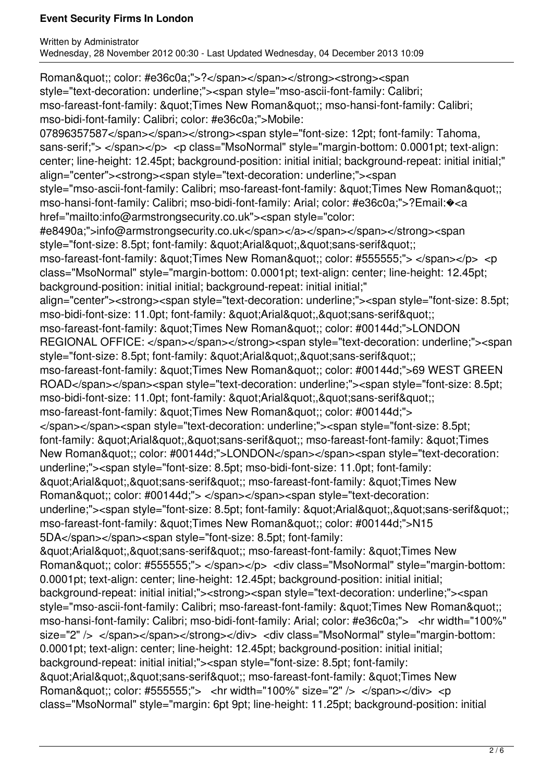Roman&quot:: color: #e36c0a;">?</span></span></strong><strong><span style="text-decoration: underline;"><span style="mso-ascii-font-family: Calibri; mso-fareast-font-family: " Times New Roman"; mso-hansi-font-family: Calibri; mso-bidi-font-family: Calibri; color: #e36c0a;">Mobile: 07896357587</span></span></strong><span style="font-size: 12pt; font-family: Tahoma, sans-serif;"> </span></p> <p class="MsoNormal" style="margin-bottom: 0.0001pt; text-align: center; line-height: 12.45pt; background-position: initial initial; background-repeat: initial initial;" align="center"><strong><span style="text-decoration: underline;"><span style="mso-ascii-font-family: Calibri; mso-fareast-font-family: " Times New Roman"; mso-hansi-font-family: Calibri; mso-bidi-font-family: Arial; color: #e36c0a;">?Email:�<a href="mailto:info@armstrongsecurity.co.uk"><span style="color: #e8490a;">info@armstrongsecurity.co.uk</span></a></span></span></strong><span style="font-size: 8.5pt; font-family: &quot:Arial&quot:,&quot:sans-serif&quot:; mso-fareast-font-family: "Times New Roman"; color: #555555;"> </span></p> <p class="MsoNormal" style="margin-bottom: 0.0001pt; text-align: center; line-height: 12.45pt; background-position: initial initial; background-repeat: initial initial;" align="center"><strong><span style="text-decoration: underline;"><span style="font-size: 8.5pt; mso-bidi-font-size: 11.0pt; font-family: &quot:Arial&quot:.&quot:sans-serif&quot:: mso-fareast-font-family: "Times New Roman"; color: #00144d;">LONDON REGIONAL OFFICE: </span></span></strong><span style="text-decoration: underline;"><span style="font-size: 8.5pt; font-family: "Arial","sans-serif"; mso-fareast-font-family: " Times New Roman"; color: #00144d;">69 WEST GREEN ROAD</span></span><span style="text-decoration: underline;"><span style="font-size: 8.5pt; mso-bidi-font-size: 11.0pt; font-family: "Arial","sans-serif"; mso-fareast-font-family: &quot:Times New Roman&quot:; color: #00144d;"> </span></span><span style="text-decoration: underline;"><span style="font-size: 8.5pt; font-family: "Arial","sans-serif"; mso-fareast-font-family: "Times New Roman&quot:; color: #00144d;">LONDON</span></span><span style="text-decoration: underline;"><span style="font-size: 8.5pt; mso-bidi-font-size: 11.0pt; font-family: "Arial","sans-serif"; mso-fareast-font-family: "Times New Roman&quot:: color: #00144d;"> </span></span><span style="text-decoration: underline;"><span style="font-size: 8.5pt; font-family: &quot;Arial&quot;,&quot;sans-serif&quot;; mso-fareast-font-family: &quot:Times New Roman&quot:; color: #00144d;">N15 5DA</span></span><span style="font-size: 8.5pt; font-family: "Arial","sans-serif"; mso-fareast-font-family: "Times New Roman&quot:; color: #555555:"> </span></p> <div class="MsoNormal" style="margin-bottom: 0.0001pt; text-align: center; line-height: 12.45pt; background-position: initial initial; background-repeat: initial initial;"><strong><span style="text-decoration: underline;"><span style="mso-ascii-font-family: Calibri; mso-fareast-font-family: " Times New Roman"; mso-hansi-font-family: Calibri; mso-bidi-font-family: Arial; color: #e36c0a;"> <hr width="100%" size="2" /> </span></span></strong></div> <div class="MsoNormal" style="margin-bottom: 0.0001pt; text-align: center; line-height: 12.45pt; background-position: initial initial; background-repeat: initial initial;"><span style="font-size: 8.5pt; font-family: & au ot: Arial & quot: & quot: sans-serif & quot:: mso-fareast-font-family: & quot: Times New Roman&quot:: color: #555555;"> <hr width="100%" size="2" /> </span></div> <p class="MsoNormal" style="margin: 6pt 9pt; line-height: 11.25pt; background-position: initial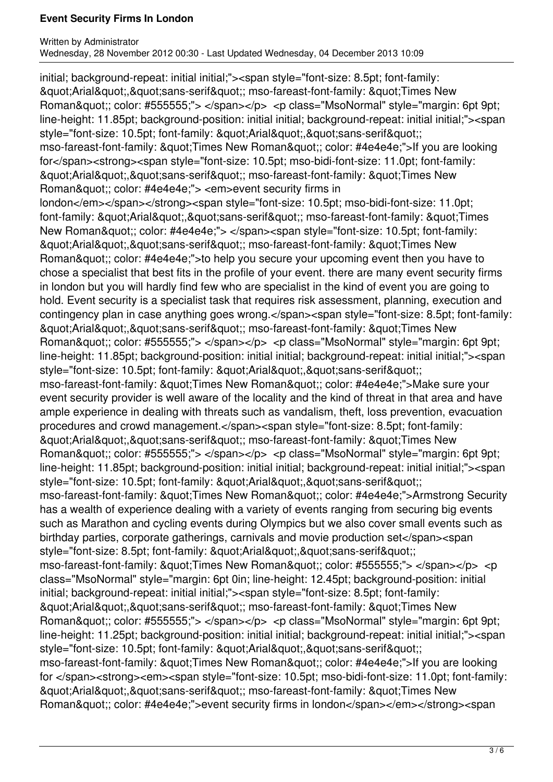initial; background-repeat: initial initial;"><span style="font-size: 8.5pt; font-family: & guot; Arial & guot;, & guot; sans-serif & guot;; mso-fareast-font-family: & guot; Times New Roman"; color: #555555;"> </span></p> <p class="MsoNormal" style="margin: 6pt 9pt; line-height: 11.85pt; background-position: initial initial; background-repeat: initial initial;"><span style="font-size: 10.5pt; font-family: "Arial","sans-serif"; mso-fareast-font-family: " Times New Roman"; color: #4e4e4e;">If you are looking for</span><strong><span style="font-size: 10.5pt; mso-bidi-font-size: 11.0pt; font-family: "Arial","sans-serif"; mso-fareast-font-family: "Times New Roman&quot:; color: #4e4e4e;"> <em>event security firms in london</em></span></strong><span style="font-size: 10.5pt; mso-bidi-font-size: 11.0pt; font-family: "Arial","sans-serif"; mso-fareast-font-family: "Times New Roman&quot:; color: #4e4e4e;"> </span><span style="font-size: 10.5pt; font-family: "Arial","sans-serif"; mso-fareast-font-family: "Times New Roman"; color: #4e4e4e;">to help you secure your upcoming event then you have to chose a specialist that best fits in the profile of your event. there are many event security firms in london but you will hardly find few who are specialist in the kind of event you are going to hold. Event security is a specialist task that requires risk assessment, planning, execution and contingency plan in case anything goes wrong.</span><span style="font-size: 8.5pt; font-family: & guot; Arial & quot;, & quot; sans-serif & quot;; mso-fareast-font-family: & quot; Times New Roman&quot:: color: #555555;"> </span></p> <p class="MsoNormal" style="margin: 6pt 9pt; line-height: 11.85pt; background-position: initial initial; background-repeat: initial initial;"><span style="font-size: 10.5pt; font-family: "Arial","sans-serif"; mso-fareast-font-family: & quot: Times New Roman & quot:: color: #4e4e4e; ">Make sure your event security provider is well aware of the locality and the kind of threat in that area and have ample experience in dealing with threats such as vandalism, theft, loss prevention, evacuation procedures and crowd management.</span><span style="font-size: 8.5pt; font-family: "Arial","sans-serif"; mso-fareast-font-family: "Times New Roman&quot:; color: #555555;"> </span></p> <p class="MsoNormal" style="margin: 6pt 9pt; line-height: 11.85pt; background-position: initial initial; background-repeat: initial initial;"><span style="font-size: 10.5pt; font-family: "Arial","sans-serif"; mso-fareast-font-family: &quot:Times New Roman&quot:; color: #4e4e4e;">Armstrong Security has a wealth of experience dealing with a variety of events ranging from securing big events such as Marathon and cycling events during Olympics but we also cover small events such as birthday parties, corporate gatherings, carnivals and movie production set</span><span style="font-size: 8.5pt; font-family: "Arial","sans-serif";  $mso-fareast-font-family: \&\text{quot:} Times New Roman\&\text{quot:}; color: #555555;">$ class="MsoNormal" style="margin: 6pt 0in; line-height: 12.45pt; background-position: initial initial; background-repeat: initial initial;"><span style="font-size: 8.5pt; font-family: & au ot: Arial & quot:, & quot: sans-serif & quot:; mso-fareast-font-family: & quot: Times New Roman"; color: #555555;"> </span></p> <p class="MsoNormal" style="margin: 6pt 9pt; line-height: 11.25pt; background-position: initial initial; background-repeat: initial initial;"><span style="font-size: 10.5pt; font-family: &quot:Arial&quot:.&quot:sans-serif&quot:: mso-fareast-font-family: "Times New Roman"; color: #4e4e4e;">If you are looking for </span><strong><em><span style="font-size: 10.5pt; mso-bidi-font-size: 11.0pt; font-family: & guot; Arial & guot;, & guot; sans-serif & guot;; mso-fareast-font-family: & guot; Times New Roman"; color: #4e4e4e;">event security firms in london</span></em></strong><span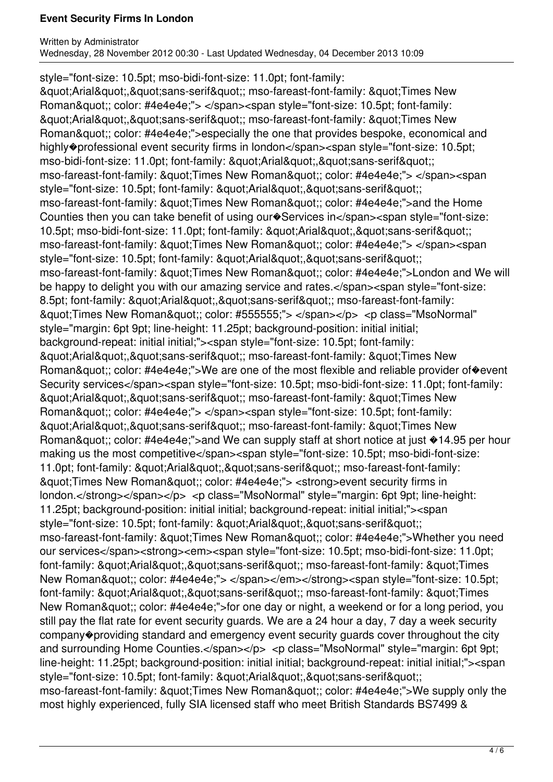style="font-size: 10.5pt; mso-bidi-font-size: 11.0pt; font-family: & guot; Arial & guot;, & guot; sans-serif & guot;; mso-fareast-font-family: & guot; Times New Roman"; color: #4e4e4e;"> </span><span style="font-size: 10.5pt; font-family: & auot: Arial & quot:, & quot: sans-serif & quot:; mso-fareast-font-family: & quot: Times New Roman"; color: #4e4e4e;">especially the one that provides bespoke, economical and highly�professional event security firms in london</span><span style="font-size: 10.5pt; mso-bidi-font-size: 11.0pt; font-family: &quot:Arial&quot:. &quot:sans-serif&quot:: mso-fareast-font-family: " Times New Roman"; color: #4e4e4e;"> </span><span style="font-size: 10.5pt; font-family: &quot:Arial&quot:.&quot:sans-serif&quot:: mso-fareast-font-family: " Times New Roman"; color: #4e4e4e;">and the Home Counties then you can take benefit of using our Services in</span><span style="font-size: 10.5pt; mso-bidi-font-size: 11.0pt; font-family: &quot:Arial&quot:.&quot:sans-serif&quot:: mso-fareast-font-family: &quot:Times New Roman&quot:: color: #4e4e4e;"> </span><span style="font-size: 10.5pt; font-family: "Arial","sans-serif"; mso-fareast-font-family: &quot:Times New Roman&quot:; color: #4e4e4e;">London and We will be happy to delight you with our amazing service and rates.</span><span style="font-size: 8.5pt; font-family: "Arial","sans-serif"; mso-fareast-font-family: &quot;Times New Roman&quot;; color: #555555;"> </span></p> <p class="MsoNormal" style="margin: 6pt 9pt; line-height: 11.25pt; background-position: initial initial; background-repeat: initial initial;"><span style="font-size: 10.5pt; font-family: "Arial","sans-serif"; mso-fareast-font-family: "Times New Roman"; color: #4e4e4e;">We are one of the most flexible and reliable provider of�event Security services</span><span style="font-size: 10.5pt; mso-bidi-font-size: 11.0pt; font-family: & guot; Arial & guot;, & guot; sans-serif & guot;; mso-fareast-font-family: & guot; Times New Roman&quot:; color: #4e4e4e;"> </span><span style="font-size: 10.5pt; font-family: & guot; Arial & guot;, & guot; sans-serif & guot;; mso-fareast-font-family: & guot; Times New Roman"; color: #4e4e4e;">and We can supply staff at short notice at just  $*14.95$  per hour making us the most competitive</span><span style="font-size: 10.5pt; mso-bidi-font-size: 11.0pt; font-family: "Arial","sans-serif"; mso-fareast-font-family: & guot; Times New Roman & guot;; color: #4e4e4e;"> < strong > event security firms in london.</strong></span></p> <p class="MsoNormal" style="margin: 6pt 9pt; line-height: 11.25pt; background-position: initial initial; background-repeat: initial initial;"><span style="font-size: 10.5pt; font-family: &quot:Arial&quot:.&quot:sans-serif&quot:: mso-fareast-font-family: &quot:Times New Roman&quot:; color: #4e4e4e;">Whether you need our services</span><strong><em><span style="font-size: 10.5pt; mso-bidi-font-size: 11.0pt; font-family: &quot:Arial&quot:.&quot:sans-serif&quot:; mso-fareast-font-family: &quot:Times New Roman"; color: #4e4e4e;"> </span></em></strong><span style="font-size: 10.5pt; font-family: "Arial","sans-serif"; mso-fareast-font-family: "Times New Roman&quot:; color: #4e4e4e;">for one day or night, a weekend or for a long period, you still pay the flat rate for event security guards. We are a 24 hour a day, 7 day a week security company�providing standard and emergency event security guards cover throughout the city and surrounding Home Counties.</span></p> <p class="MsoNormal" style="margin: 6pt 9pt; line-height: 11.25pt; background-position: initial initial; background-repeat: initial initial;"><span style="font-size: 10.5pt; font-family: &quot:Arial&quot:.&quot:sans-serif&quot:: mso-fareast-font-family: "Times New Roman"; color: #4e4e4e;">We supply only the most highly experienced, fully SIA licensed staff who meet British Standards BS7499 &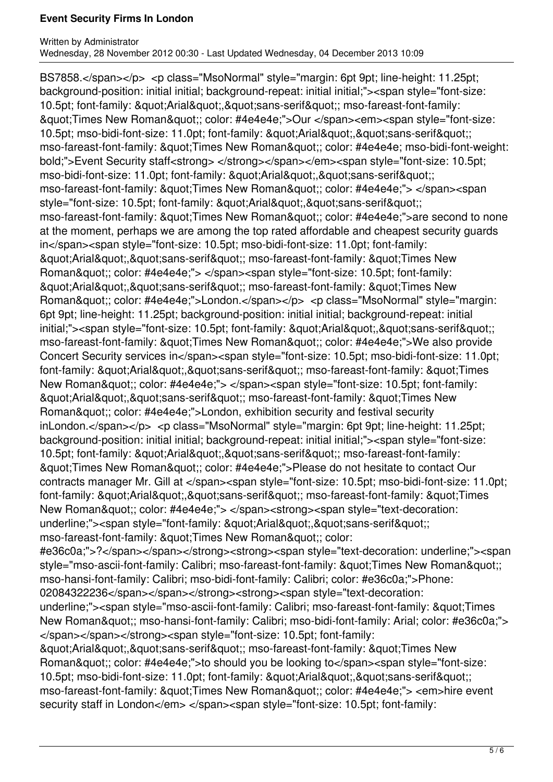BS7858.</span></p> <p class="MsoNormal" style="margin: 6pt 9pt; line-height: 11.25pt; background-position: initial initial; background-repeat: initial initial;"><span style="font-size: 10.5pt; font-family: "Arial","sans-serif"; mso-fareast-font-family: &quot;Times New Roman&quot;; color: #4e4e4e;">Our </span><em><span style="font-size: 10.5pt; mso-bidi-font-size: 11.0pt; font-family: "Arial","sans-serif"; mso-fareast-font-family: " Times New Roman"; color: #4e4e4e; mso-bidi-font-weight: bold;">Event Security staff<strong></strong></span></em><span style="font-size: 10.5pt; mso-bidi-font-size: 11.0pt; font-family: "Arial","sans-serif"; mso-fareast-font-family: &quot:Times New Roman&quot:: color: #4e4e4e;"> </span><span style="font-size: 10.5pt; font-family: &quot:Arial&quot:.&quot:sans-serif&quot:: mso-fareast-font-family: " Times New Roman"; color: #4e4e4e; ">are second to none at the moment, perhaps we are among the top rated affordable and cheapest security guards in</span><span style="font-size: 10.5pt; mso-bidi-font-size: 11.0pt; font-family: & guot; Arial & guot;, & guot; sans-serif & guot;; mso-fareast-font-family: & guot; Times New Roman&quot:; color: #4e4e4e;"> </span><span style="font-size: 10.5pt; font-family: "Arial","sans-serif"; mso-fareast-font-family: "Times New Roman"; color: #4e4e4e;">London.</span></p> <p class="MsoNormal" style="margin: 6pt 9pt; line-height: 11.25pt; background-position: initial initial; background-repeat: initial initial;"><span style="font-size: 10.5pt; font-family: &quot:Arial&quot:.&quot:sans-serif&quot:: mso-fareast-font-family: " Times New Roman"; color: #4e4e4e;">We also provide Concert Security services in</span><span style="font-size: 10.5pt; mso-bidi-font-size: 11.0pt; font-family: "Arial","sans-serif"; mso-fareast-font-family: "Times New Roman&quot:; color: #4e4e4e;"> </span><span style="font-size: 10.5pt; font-family: & guot; Arial & guot;, & guot; sans-serif & guot;; mso-fareast-font-family: & guot; Times New Roman&quot:; color: #4e4e4e;">London, exhibition security and festival security inLondon.</span></p> <p class="MsoNormal" style="margin: 6pt 9pt; line-height: 11.25pt; background-position: initial initial; background-repeat: initial initial;"><span style="font-size: 10.5pt; font-family: &quot:Arial&quot:.&quot:sans-serif&quot:; mso-fareast-font-family: & auot; Times New Roman & quot;; color: #4e4e4e; ">Please do not hesitate to contact Our contracts manager Mr. Gill at </span><span style="font-size: 10.5pt; mso-bidi-font-size: 11.0pt; font-family: "Arial","sans-serif"; mso-fareast-font-family: "Times New Roman"; color: #4e4e4e;"> </span><strong><span style="text-decoration: underline;"><span style="font-family: &quot:Arial&quot:.&quot:sans-serif&quot:: mso-fareast-font-family: &quot:Times New Roman&quot:; color: #e36c0a;">?</span></span></strong><strong><span style="text-decoration: underline;"><span style="mso-ascii-font-family: Calibri; mso-fareast-font-family: " Times New Roman"; mso-hansi-font-family: Calibri; mso-bidi-font-family: Calibri; color: #e36c0a;">Phone: 02084322236</span></span></strong><strong><span style="text-decoration: underline;"><span style="mso-ascii-font-family: Calibri; mso-fareast-font-family: &quot;Times New Roman"; mso-hansi-font-family: Calibri; mso-bidi-font-family: Arial; color: #e36c0a;"> </span></span></strong><span style="font-size: 10.5pt; font-family:  $&$ auot:Arial&quot:.&quot:sans-serif&quot:: mso-fareast-font-family: &quot:Times New Roman"; color: #4e4e4e;">to should you be looking to</span><span style="font-size: 10.5pt; mso-bidi-font-size: 11.0pt; font-family: &quot:Arial&quot:.&quot:sans-serif&quot:: mso-fareast-font-family: " Times New Roman"; color: #4e4e4e;"> <em>hire event security staff in London</em> </span><span style="font-size: 10.5pt; font-family: